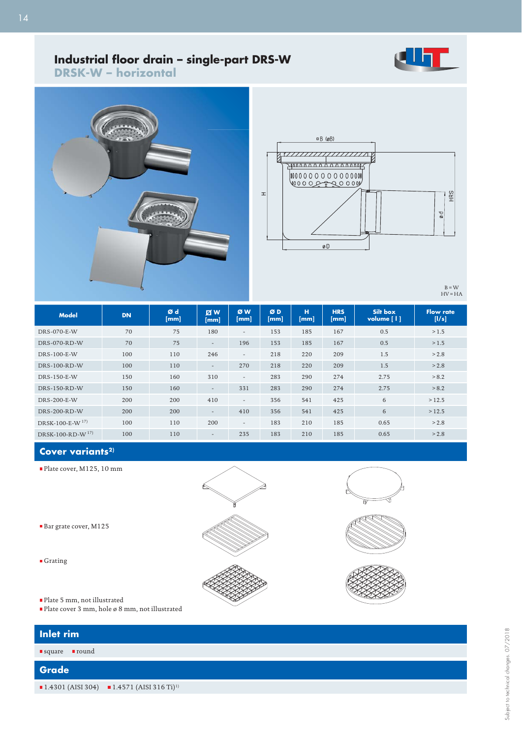

## **Industrial fl oor drain – single-part DRS-W sing**

**DRSK-W – horizontal**





 $B = W$ <br>HV = HA

| <b>Model</b>                   | <b>DN</b> | Ød<br>[mm] | <b>Z</b><br>[mm]         | ØW<br>[mm]               | ØD<br>[mm] | н<br>[mm] | <b>HRS</b><br>[mm] | Silt box<br>volume [1] | <b>Flow rate</b><br>[1/s] |
|--------------------------------|-----------|------------|--------------------------|--------------------------|------------|-----------|--------------------|------------------------|---------------------------|
| DRS-070-E-W                    | 70        | 75         | 180                      | $\overline{\phantom{a}}$ | 153        | 185       | 167                | 0.5                    | >1.5                      |
| DRS-070-RD-W                   | 70        | 75         | $\overline{\phantom{a}}$ | 196                      | 153        | 185       | 167                | 0.5                    | >1.5                      |
| DRS-100-E-W                    | 100       | 110        | 246                      | $\overline{\phantom{a}}$ | 218        | 220       | 209                | 1.5                    | > 2.8                     |
| $DRS-100-RD-W$                 | 100       | 110        | $\overline{\phantom{a}}$ | 270                      | 218        | 220       | 209                | 1.5                    | > 2.8                     |
| DRS-150-E-W                    | 150       | 160        | 310                      | $\overline{\phantom{a}}$ | 283        | 290       | 274                | 2.75                   | > 8.2                     |
| DRS-150-RD-W                   | 150       | 160        | $\overline{\phantom{a}}$ | 331                      | 283        | 290       | 274                | 2.75                   | > 8.2                     |
| DRS-200-E-W                    | 200       | 200        | 410                      | $\overline{\phantom{a}}$ | 356        | 541       | 425                | 6                      | >12.5                     |
| $DRS-200-RD-W$                 | 200       | 200        | $\overline{\phantom{a}}$ | 410                      | 356        | 541       | 425                | 6                      | >12.5                     |
| DRSK-100-E-W $^{17}$ )         | 100       | 110        | 200                      | $\overline{\phantom{a}}$ | 183        | 210       | 185                | 0.65                   | > 2.8                     |
| $DRSK-100-RD-W$ <sup>17)</sup> | 100       | 110        | $\overline{\phantom{a}}$ | 235                      | 183        | 210       | 185                | 0.65                   | > 2.8                     |

## **Cover variants2)**

- Plate cover, M125, 10 mm
- 
- Bar grate cover, M125
- Grating
- Plate 5 mm, not illustrated
- Plate cover 3 mm, hole ø 8 mm, not illustrated

| Inlet rim         |                                                                                    |  |  |  |  |
|-------------------|------------------------------------------------------------------------------------|--|--|--|--|
| ■ round<br>square |                                                                                    |  |  |  |  |
| Grade             |                                                                                    |  |  |  |  |
|                   | $\blacksquare$ 1.4301 (AISI 304) $\blacksquare$ 1.4571 (AISI 316 Ti) <sup>1)</sup> |  |  |  |  |
|                   |                                                                                    |  |  |  |  |